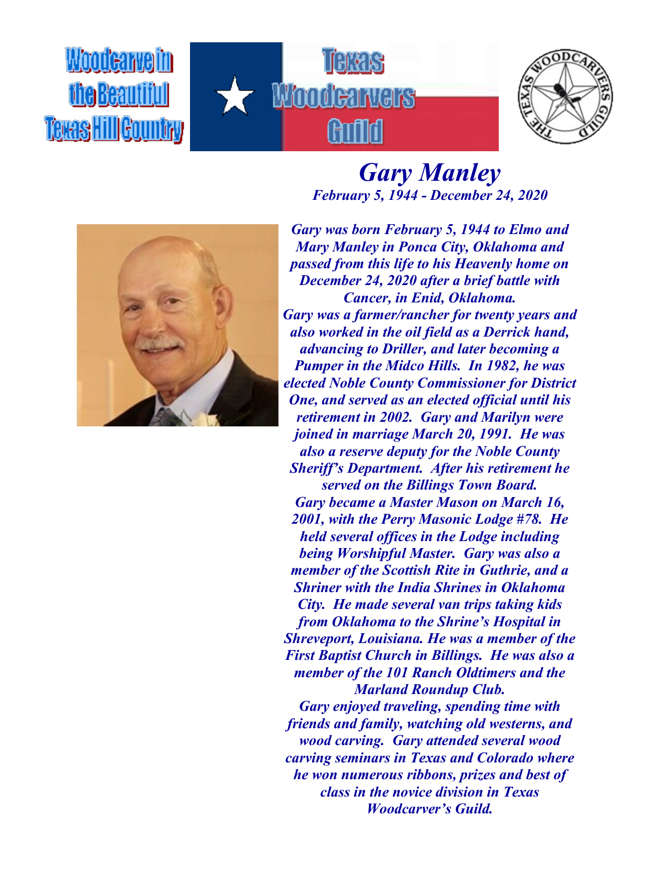Woodcarveim fhe Beautifull Texas Hill Gountry





## *Gary Manley February 5, 1944 - December 24, 2020*



*Gary was born February 5, 1944 to Elmo and Mary Manley in Ponca City, Oklahoma and passed from this life to his Heavenly home on December 24, 2020 after a brief battle with Cancer, in Enid, Oklahoma. Gary was a farmer/rancher for twenty years and also worked in the oil field as a Derrick hand, advancing to Driller, and later becoming a Pumper in the Midco Hills. In 1982, he was elected Noble County Commissioner for District One, and served as an elected official until his retirement in 2002. Gary and Marilyn were joined in marriage March 20, 1991. He was also a reserve deputy for the Noble County Sheriff's Department. After his retirement he served on the Billings Town Board. Gary became a Master Mason on March 16, 2001, with the Perry Masonic Lodge #78. He held several offices in the Lodge including being Worshipful Master. Gary was also a member of the Scottish Rite in Guthrie, and a Shriner with the India Shrines in Oklahoma City. He made several van trips taking kids from Oklahoma to the Shrine's Hospital in Shreveport, Louisiana. He was a member of the First Baptist Church in Billings. He was also a member of the 101 Ranch Oldtimers and the Marland Roundup Club.*

*Gary enjoyed traveling, spending time with friends and family, watching old westerns, and wood carving. Gary attended several wood carving seminars in Texas and Colorado where he won numerous ribbons, prizes and best of class in the novice division in Texas Woodcarver's Guild.*